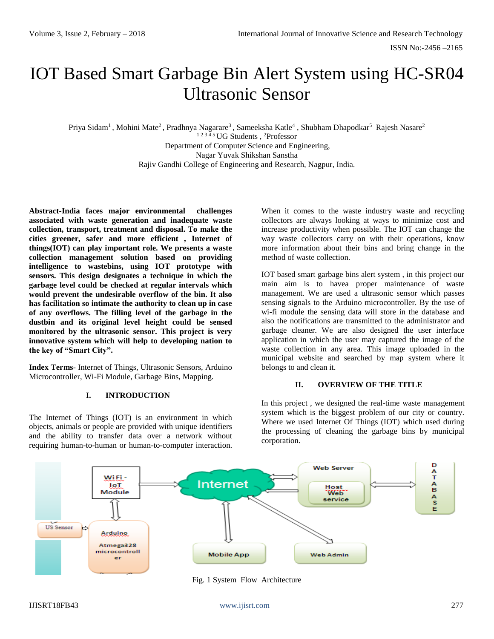# IOT Based Smart Garbage Bin Alert System using HC-SR04 Ultrasonic Sensor

Priya Sidam<sup>1</sup>, Mohini Mate<sup>2</sup>, Pradhnya Nagarare<sup>3</sup>, Sameeksha Katle<sup>4</sup>, Shubham Dhapodkar<sup>5</sup> Rajesh Nasare<sup>2</sup> <sup>1</sup> 2 3 4 5 UG Students , <sup>2</sup>Professor

Department of Computer Science and Engineering, Nagar Yuvak Shikshan Sanstha Rajiv Gandhi College of Engineering and Research, Nagpur, India.

**Abstract-India faces major environmental challenges associated with waste generation and inadequate waste collection, transport, treatment and disposal. To make the cities greener, safer and more efficient , Internet of things(IOT) can play important role. We presents a waste collection management solution based on providing intelligence to wastebins, using IOT prototype with sensors. This design designates a technique in which the garbage level could be checked at regular intervals which would prevent the undesirable overflow of the bin. It also has facilitation so intimate the authority to clean up in case of any overflows. The filling level of the garbage in the dustbin and its original level height could be sensed monitored by the ultrasonic sensor. This project is very innovative system which will help to developing nation to the key of "Smart City".**

**Index Terms**- Internet of Things, Ultrasonic Sensors, Arduino Microcontroller, Wi-Fi Module, Garbage Bins, Mapping.

# **I. INTRODUCTION**

The Internet of Things (IOT) is an environment in which objects, animals or people are provided with unique identifiers and the ability to transfer data over a network without requiring human-to-human or human-to-computer interaction. When it comes to the waste industry waste and recycling collectors are always looking at ways to minimize cost and increase productivity when possible. The IOT can change the way waste collectors carry on with their operations, know more information about their bins and bring change in the method of waste collection.

IOT based smart garbage bins alert system , in this project our main aim is to havea proper maintenance of waste management. We are used a ultrasonic sensor which passes sensing signals to the Arduino microcontroller. By the use of wi-fi module the sensing data will store in the database and also the notifications are transmitted to the administrator and garbage cleaner. We are also designed the user interface application in which the user may captured the image of the waste collection in any area. This image uploaded in the municipal website and searched by map system where it belongs to and clean it.

# **II. OVERVIEW OF THE TITLE**

In this project , we designed the real-time waste management system which is the biggest problem of our city or country. Where we used Internet Of Things (IOT) which used during the processing of cleaning the garbage bins by municipal corporation.



Fig. 1 System Flow Architecture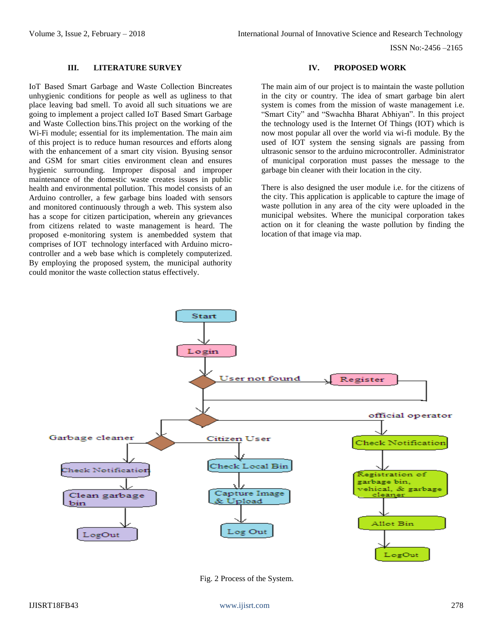ISSN No:-2456 –2165

# **III. LITERATURE SURVEY**

IoT Based Smart Garbage and Waste Collection Bincreates unhygienic conditions for people as well as ugliness to that place leaving bad smell. To avoid all such situations we are going to implement a project called IoT Based Smart Garbage and Waste Collection bins.This project on the working of the Wi-Fi module; essential for its implementation. The main aim of this project is to reduce human resources and efforts along with the enhancement of a smart city vision. Byusing sensor and GSM for smart cities environment clean and ensures hygienic surrounding. Improper disposal and improper maintenance of the domestic waste creates issues in public health and environmental pollution. This model consists of an Arduino controller, a few garbage bins loaded with sensors and monitored continuously through a web. This system also has a scope for citizen participation, wherein any grievances from citizens related to waste management is heard. The proposed e-monitoring system is anembedded system that comprises of IOT technology interfaced with Arduino microcontroller and a web base which is completely computerized. By employing the proposed system, the municipal authority could monitor the waste collection status effectively.

#### **IV. PROPOSED WORK**

The main aim of our project is to maintain the waste pollution in the city or country. The idea of smart garbage bin alert system is comes from the mission of waste management i.e. "Smart City" and "Swachha Bharat Abhiyan". In this project the technology used is the Internet Of Things (IOT) which is now most popular all over the world via wi-fi module. By the used of IOT system the sensing signals are passing from ultrasonic sensor to the arduino microcontroller. Administrator of municipal corporation must passes the message to the garbage bin cleaner with their location in the city.

There is also designed the user module i.e. for the citizens of the city. This application is applicable to capture the image of waste pollution in any area of the city were uploaded in the municipal websites. Where the municipal corporation takes action on it for cleaning the waste pollution by finding the location of that image via map.



Fig. 2 Process of the System.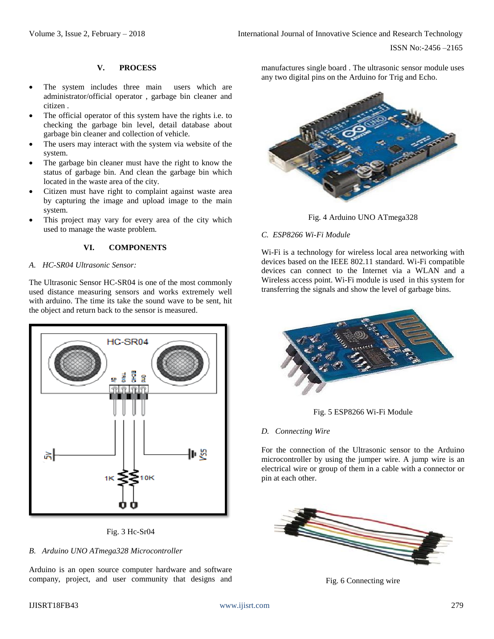# **V. PROCESS**

- The system includes three main users which are administrator/official operator , garbage bin cleaner and citizen .
- The official operator of this system have the rights i.e. to checking the garbage bin level, detail database about garbage bin cleaner and collection of vehicle.
- The users may interact with the system via website of the system.
- The garbage bin cleaner must have the right to know the status of garbage bin. And clean the garbage bin which located in the waste area of the city.
- Citizen must have right to complaint against waste area by capturing the image and upload image to the main system.
- This project may vary for every area of the city which used to manage the waste problem.

# **VI. COMPONENTS**

# *A. HC-SR04 Ultrasonic Sensor:*

The Ultrasonic Sensor HC-SR04 is one of the most commonly used distance measuring sensors and works extremely well with arduino. The time its take the sound wave to be sent, hit the object and return back to the sensor is measured.





#### *B. Arduino UNO ATmega328 Microcontroller*

Arduino is an open source computer hardware and software company, project, and user community that designs and manufactures single board . The ultrasonic sensor module uses any two digital pins on the Arduino for Trig and Echo.



Fig. 4 Arduino UNO ATmega328

# *C. ESP8266 Wi-Fi Module*

Wi-Fi is a technology for wireless local area networking with devices based on the IEEE 802.11 standard. Wi-Fi compatible devices can connect to the Internet via a WLAN and a Wireless access point. Wi-Fi module is used in this system for transferring the signals and show the level of garbage bins.





#### *D. Connecting Wire*

For the connection of the Ultrasonic sensor to the Arduino microcontroller by using the jumper wire. A jump wire is an electrical wire or group of them in a cable with a connector or pin at each other.



Fig. 6 Connecting wire